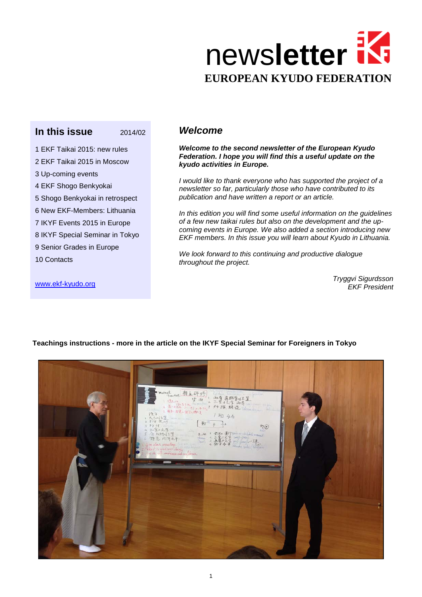

### **In this issue 2014/02**

1 EKF Taikai 2015: new rules 2 EKF Taikai 2015 in Moscow 3 Up-coming events 4 EKF Shogo Benkyokai 5 Shogo Benkyokai in retrospect 6 New EKF-Members: Lithuania 7 IKYF Events 2015 in Europe 8 IKYF Special Seminar in Tokyo 9 Senior Grades in Europe

### *Welcome*

*Welcome to the second newsletter of the European Kyudo Federation. I hope you will find this a useful update on the kyudo activities in Europe.*

*I would like to thank everyone who has supported the project of a newsletter so far, particularly those who have contributed to its publication and have written a report or an article.*

*In this edition you will find some useful information on the guidelines of a few new taikai rules but also on the development and the upcoming events in Europe. We also added a section introducing new EKF members. In this issue you will learn about Kyudo in Lithuania.* 

*We look forward to this continuing and productive dialogue throughout the project.*

> *Tryggvi Sigurdsson EKF President*

[www.ekf-kyudo.org](http://www.ekf-kyudo.org/)

10 Contacts



**Teachings instructions - more in the article on the IKYF Special Seminar for Foreigners in Tokyo**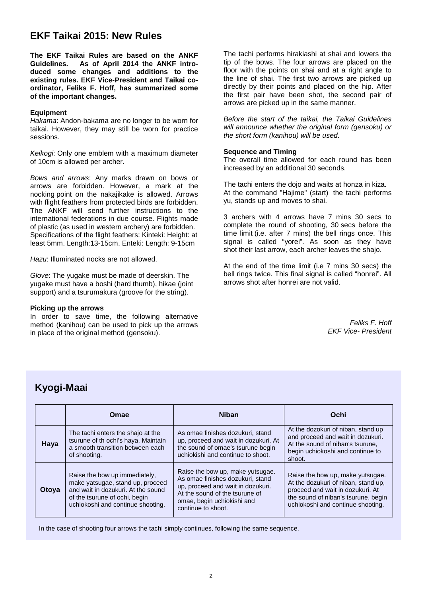## **EKF Taikai 2015: New Rules**

**The EKF Taikai Rules are based on the ANKF**  As of April 2014 the ANKF intro**duced some changes and additions to the existing rules. EKF Vice-President and Taikai coordinator, Feliks F. Hoff, has summarized some of the important changes.**

#### **Equipment**

*Hakama*: Andon-bakama are no longer to be worn for taikai. However, they may still be worn for practice sessions.

*Keikogi*: Only one emblem with a maximum diameter of 10cm is allowed per archer.

*Bows and arrows*: Any marks drawn on bows or arrows are forbidden. However, a mark at the nocking point on the nakajikake is allowed. Arrows with flight feathers from protected birds are forbidden. The ANKF will send further instructions to the international federations in due course. Flights made of plastic (as used in western archery) are forbidden. Specifications of the flight feathers: Kinteki: Height: at least 5mm. Length:13-15cm. Enteki: Length: 9-15cm

*Hazu*: Illuminated nocks are not allowed.

*Glove*: The yugake must be made of deerskin. The yugake must have a boshi (hard thumb), hikae (joint support) and a tsurumakura (groove for the string).

#### **Picking up the arrows**

In order to save time, the following alternative method (kanihou) can be used to pick up the arrows in place of the original method (gensoku).

The tachi performs hirakiashi at shai and lowers the tip of the bows. The four arrows are placed on the floor with the points on shai and at a right angle to the line of shai. The first two arrows are picked up directly by their points and placed on the hip. After the first pair have been shot, the second pair of arrows are picked up in the same manner.

*Before the start of the taikai, the Taikai Guidelines will announce whether the original form (gensoku) or the short form (kanihou) will be used*.

#### **Sequence and Timing**

The overall time allowed for each round has been increased by an additional 30 seconds.

The tachi enters the dojo and waits at honza in kiza. At the command "Hajime" (start) the tachi performs yu, stands up and moves to shai.

3 archers with 4 arrows have 7 mins 30 secs to complete the round of shooting, 30 secs before the time limit (i.e. after 7 mins) the bell rings once. This signal is called "yorei". As soon as they have shot their last arrow, each archer leaves the shajo.

At the end of the time limit (i.e 7 mins 30 secs) the bell rings twice. This final signal is called "honrei". All arrows shot after honrei are not valid.

> *Feliks F. Hoff EKF Vice- President*

# **Kyogi-Maai**

|       | Omae                                                                                                                                                                          | <b>Niban</b>                                                                                                                                                                                    | Ochi                                                                                                                                                                                    |
|-------|-------------------------------------------------------------------------------------------------------------------------------------------------------------------------------|-------------------------------------------------------------------------------------------------------------------------------------------------------------------------------------------------|-----------------------------------------------------------------------------------------------------------------------------------------------------------------------------------------|
| Haya  | The tachi enters the shajo at the<br>tsurune of th ochi's haya. Maintain<br>a smooth transition between each<br>of shooting.                                                  | As omae finishes dozukuri, stand<br>up, proceed and wait in dozukuri. At<br>the sound of omae's tsurune begin<br>uchiokishi and continue to shoot.                                              | At the dozokuri of niban, stand up<br>and proceed and wait in dozukuri.<br>At the sound of niban's tsurune,<br>begin uchiokoshi and continue to<br>shoot.                               |
| Otoya | Raise the bow up immediately,<br>make yatsugae, stand up, proceed<br>and wait in dozukuri. At the sound<br>of the tsurune of ochi, begin<br>uchiokoshi and continue shooting. | Raise the bow up, make yutsugae.<br>As omae finishes dozukuri, stand<br>up, proceed and wait in dozukuri.<br>At the sound of the tsurune of<br>omae, begin uchiokishi and<br>continue to shoot. | Raise the bow up, make yutsugae.<br>At the dozukuri of niban, stand up,<br>proceed and wait in dozukuri. At<br>the sound of niban's tsurune, begin<br>uchiokoshi and continue shooting. |

In the case of shooting four arrows the tachi simply continues, following the same sequence.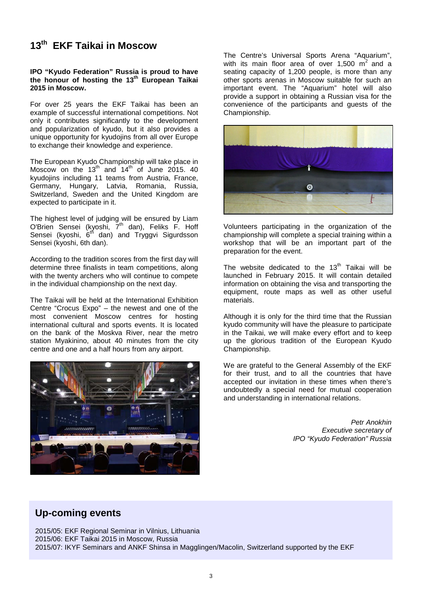# **13th EKF Taikai in Moscow**

#### **IPO "Kyudo Federation" Russia is proud to have the honour of hosting the 13th European Taikai 2015 in Moscow.**

For over 25 years the EKF Taikai has been an example of successful international competitions. Not only it contributes significantly to the development and popularization of kyudo, but it also provides a unique opportunity for kyudojins from all over Europe to exchange their knowledge and experience.

The European Kyudo Championship will take place in Moscow on the  $13<sup>th</sup>$  and  $14<sup>th</sup>$  of June 2015. 40 kyudojins including 11 teams from Austria, France, Germany, Hungary, Latvia, Romania, Russia, Switzerland, Sweden and the United Kingdom are expected to participate in it.

The highest level of judging will be ensured by Liam O'Brien Sensei (kyoshi, 7<sup>th</sup> dan), Feliks F. Hoff Sensei (kyoshi, 6<sup>th</sup> dan) and Tryggvi Sigurdsson Sensei (kyoshi, 6th dan).

According to the tradition scores from the first day will determine three finalists in team competitions, along with the twenty archers who will continue to compete in the individual championship on the next day.

The Taikai will be held at the International Exhibition Centre "Crocus Expo" – the newest and one of the most convenient Moscow centres for hosting international cultural and sports events. It is located on the bank of the Moskva River, near the metro station Myakinino, about 40 minutes from the city centre and one and a half hours from any airport.



The Centre's Universal Sports Arena "Aquarium", with its main floor area of over  $1,500 \text{ m}^2$  and a seating capacity of 1,200 people, is more than any other sports arenas in Moscow suitable for such an important event. The "Aquarium" hotel will also provide a support in obtaining a Russian visa for the convenience of the participants and guests of the Championship.



Volunteers participating in the organization of the championship will complete a special training within a workshop that will be an important part of the preparation for the event.

The website dedicated to the  $13<sup>th</sup>$  Taikai will be launched in February 2015. It will contain detailed information on obtaining the visa and transporting the equipment, route maps as well as other useful materials.

Although it is only for the third time that the Russian kyudo community will have the pleasure to participate in the Taikai, we will make every effort and to keep up the glorious tradition of the European Kyudo Championship.

We are grateful to the General Assembly of the EKF for their trust, and to all the countries that have accepted our invitation in these times when there's undoubtedly a special need for mutual cooperation and understanding in international relations.

> *Petr Anokhin Executive secretary of IPO "Kyudo Federation" Russia*

# **Up-coming events**

2015/05: EKF Regional Seminar in Vilnius, Lithuania 2015/06: EKF Taikai 2015 in Moscow, Russia 2015/07: IKYF Seminars and ANKF Shinsa in Magglingen/Macolin, Switzerland supported by the EKF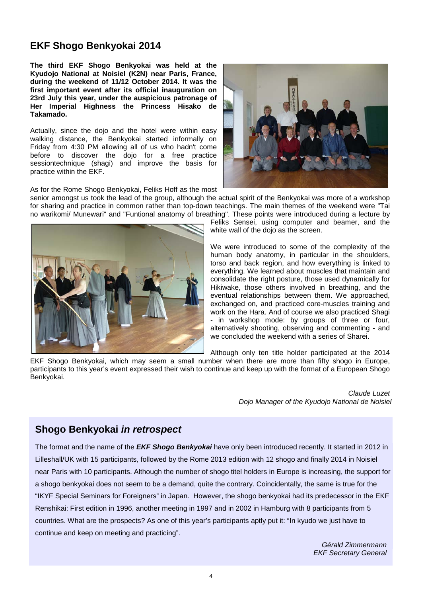## **EKF Shogo Benkyokai 2014**

**The third EKF Shogo Benkyokai was held at the Kyudojo National at Noisiel (K2N) near Paris, France, during the weekend of 11/12 October 2014. It was the first important event after its official inauguration on 23rd July this year, under the auspicious patronage of Her Imperial Highness the Princess Hisako de Takamado.**

Actually, since the dojo and the hotel were within easy walking distance, the Benkyokai started informally on Friday from 4:30 PM allowing all of us who hadn't come before to discover the dojo for a free practice sessiontechnique (shagi) and improve the basis for practice within the EKF.



As for the Rome Shogo Benkyokai, Feliks Hoff as the most

senior amongst us took the lead of the group, although the actual spirit of the Benkyokai was more of a workshop for sharing and practice in common rather than top-down teachings. The main themes of the weekend were "Tai no warikomi/ Munewari" and "Funtional anatomy of breathing". These points were introduced during a lecture by



Feliks Sensei, using computer and beamer, and the white wall of the dojo as the screen.

We were introduced to some of the complexity of the human body anatomy, in particular in the shoulders, torso and back region, and how everything is linked to everything. We learned about muscles that maintain and consolidate the right posture, those used dynamically for Hikiwake, those others involved in breathing, and the eventual relationships between them. We approached, exchanged on, and practiced core-muscles training and work on the Hara. And of course we also practiced Shagi - in workshop mode: by groups of three or four, alternatively shooting, observing and commenting - and we concluded the weekend with a series of Sharei.

Although only ten title holder participated at the 2014

EKF Shogo Benkyokai, which may seem a small number when there are more than fifty shogo in Europe, participants to this year's event expressed their wish to continue and keep up with the format of a European Shogo Benkyokai.

> *Claude Luzet Dojo Manager of the Kyudojo National de Noisiel*

### **Shogo Benkyokai** *in retrospect*

The format and the name of the *EKF Shogo Benkyokai* have only been introduced recently. It started in 2012 in Lilleshall/UK with 15 participants, followed by the Rome 2013 edition with 12 shogo and finally 2014 in Noisiel near Paris with 10 participants. Although the number of shogo titel holders in Europe is increasing, the support for a shogo benkyokai does not seem to be a demand, quite the contrary. Coincidentally, the same is true for the "IKYF Special Seminars for Foreigners" in Japan. However, the shogo benkyokai had its predecessor in the EKF Renshikai: First edition in 1996, another meeting in 1997 and in 2002 in Hamburg with 8 participants from 5 countries. What are the prospects? As one of this year's participants aptly put it: "In kyudo we just have to continue and keep on meeting and practicing".

> *Gérald Zimmermann EKF Secretary General*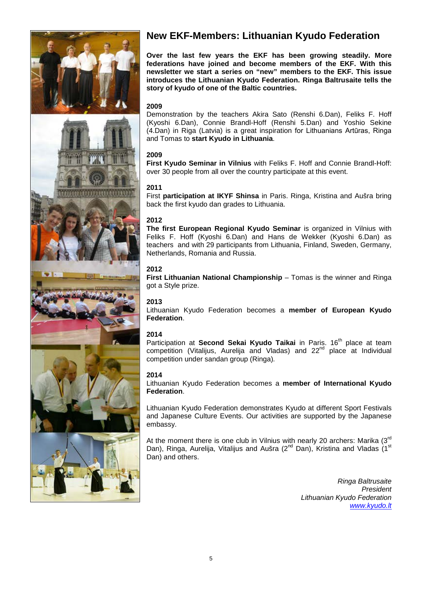

# **New EKF-Members: Lithuanian Kyudo Federation**

**Over the last few years the EKF has been growing steadily. More federations have joined and become members of the EKF. With this newsletter we start a series on "new" members to the EKF. This issue introduces the Lithuanian Kyudo Federation. Ringa Baltrusaite tells the story of kyudo of one of the Baltic countries.**

### **2009**

Demonstration by the teachers Akira Sato (Renshi 6.Dan), Feliks F. Hoff (Kyoshi 6.Dan), Connie Brandl-Hoff (Renshi 5.Dan) and Yoshio Sekine (4.Dan) in Riga (Latvia) is a great inspiration for Lithuanians Artūras, Ringa and Tomas to **start Kyudo in Lithuania**.

### **2009**

**First Kyudo Seminar in Vilnius** with Feliks F. Hoff and Connie Brandl-Hoff: over 30 people from all over the country participate at this event.

#### **2011**

First **participation at IKYF Shinsa** in Paris. Ringa, Kristina and Aušra bring back the first kyudo dan grades to Lithuania.

### **2012**

**The first European Regional Kyudo Seminar** is organized in Vilnius with Feliks F. Hoff (Kyoshi 6.Dan) and Hans de Wekker (Kyoshi 6.Dan) as teachers and with 29 participants from Lithuania, Finland, Sweden, Germany, Netherlands, Romania and Russia.

### **2012**

**First Lithuanian National Championship** – Tomas is the winner and Ringa got a Style prize.

### **2013**

Lithuanian Kyudo Federation becomes a **member of European Kyudo Federation**.

### **2014**

Participation at **Second Sekai Kyudo Taikai** in Paris. 16<sup>th</sup> place at team competition (Vitalijus, Aurelija and Vladas) and  $22<sup>nd</sup>$  place at Individual competition under sandan group (Ringa)*.*

#### **2014**

Lithuanian Kyudo Federation becomes a **member of International Kyudo Federation**.

Lithuanian Kyudo Federation demonstrates Kyudo at different Sport Festivals and Japanese Culture Events. Our activities are supported by the Japanese embassy.

At the moment there is one club in Vilnius with nearly 20 archers: Marika  $(3<sup>rd</sup>$ Dan), Ringa, Aurelija, Vitalijus and Aušra ( $2^{nd}$  Dan), Kristina and Vladas (1<sup>st</sup> Dan) and others.

> *Ringa Baltrusaite President Lithuanian Kyudo Federation [www.kyudo.lt](http://www.kyudo.lt/)*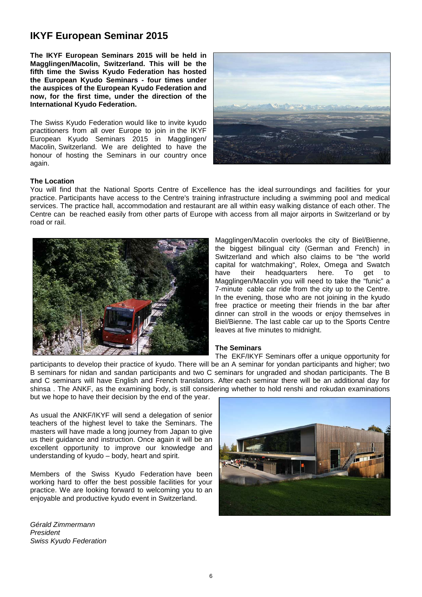# **IKYF European Seminar 2015**

**The IKYF European Seminars 2015 will be held in Magglingen/Macolin, Switzerland. This will be the fifth time the Swiss Kyudo Federation has hosted the European Kyudo Seminars - four times under the auspices of the European Kyudo Federation and now, for the first time, under the direction of the International Kyudo Federation.**

The Swiss Kyudo Federation would like to invite kyudo practitioners from all over Europe to join in the IKYF European Kyudo Seminars 2015 in Magglingen/ Macolin, Switzerland. We are delighted to have the honour of hosting the Seminars in our country once again.



#### **The Location**

You will find that the National Sports Centre of Excellence has the ideal surroundings and facilities for your practice. Participants have access to the Centre's training infrastructure including a swimming pool and medical services. The practice hall, accommodation and restaurant are all within easy walking distance of each other. The Centre can be reached easily from other parts of Europe with access from all major airports in Switzerland or by road or rail.



Magglingen/Macolin overlooks the city of Biel/Bienne, the biggest bilingual city (German and French) in Switzerland and which also claims to be "the world capital for watchmaking", Rolex, Omega and Swatch have their headquarters here. To get to Magglingen/Macolin you will need to take the "funic" a 7-minute cable car ride from the city up to the Centre. In the evening, those who are not joining in the kyudo free practice or meeting their friends in the bar after dinner can stroll in the woods or enjoy themselves in Biel/Bienne. The last cable car up to the Sports Centre leaves at five minutes to midnight.

#### **The Seminars**

The EKF/IKYF Seminars offer a unique opportunity for participants to develop their practice of kyudo. There will be an A seminar for yondan participants and higher; two B seminars for nidan and sandan participants and two C seminars for ungraded and shodan participants. The B and C seminars will have English and French translators. After each seminar there will be an additional day for shinsa . The ANKF, as the examining body, is still considering whether to hold renshi and rokudan examinations but we hope to have their decision by the end of the year.

As usual the ANKF/IKYF will send a delegation of senior teachers of the highest level to take the Seminars. The masters will have made a long journey from Japan to give us their guidance and instruction. Once again it will be an excellent opportunity to improve our knowledge and understanding of kyudo – body, heart and spirit.

Members of the Swiss Kyudo Federation have been working hard to offer the best possible facilities for your practice. We are looking forward to welcoming you to an enjoyable and productive kyudo event in Switzerland.

*Gérald Zimmermann President Swiss Kyudo Federation*